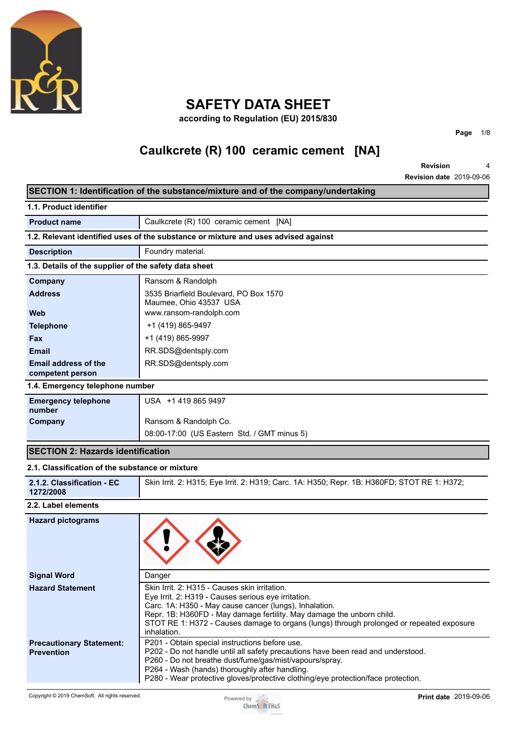

# **SAFETY DATA SHEET**

**according to Regulation (EU) 2015/830**

# **Caulkcrete (R) 100 ceramic cement [NA]**

**SECTION 1: Identification of the substance/mixture and of the company/undertaking**

**Revision Revision date** 2019-09-06 4

**Page** 1/8

٦

|                                                       | $\sigma$ , $\sigma$ , $\sigma$ , $\sigma$ , $\sigma$ , $\sigma$ , $\sigma$ , $\sigma$ , $\sigma$ , $\sigma$ , $\sigma$ , $\sigma$ , $\sigma$ , $\sigma$ , $\sigma$ , $\sigma$ , $\sigma$ , $\sigma$ , $\sigma$ , $\sigma$ , $\sigma$ , $\sigma$ , $\sigma$ , $\sigma$ , $\sigma$ , $\sigma$ , $\sigma$ , $\sigma$ , $\sigma$ , $\sigma$ , $\sigma$ , $\sigma$ |
|-------------------------------------------------------|---------------------------------------------------------------------------------------------------------------------------------------------------------------------------------------------------------------------------------------------------------------------------------------------------------------------------------------------------------------|
| 1.1. Product identifier                               |                                                                                                                                                                                                                                                                                                                                                               |
| <b>Product name</b>                                   | Caulkcrete (R) 100 ceramic cement [NA]                                                                                                                                                                                                                                                                                                                        |
|                                                       | 1.2. Relevant identified uses of the substance or mixture and uses advised against                                                                                                                                                                                                                                                                            |
| <b>Description</b>                                    | Foundry material.                                                                                                                                                                                                                                                                                                                                             |
| 1.3. Details of the supplier of the safety data sheet |                                                                                                                                                                                                                                                                                                                                                               |
| Company                                               | Ransom & Randolph                                                                                                                                                                                                                                                                                                                                             |
| <b>Address</b>                                        | 3535 Briarfield Boulevard, PO Box 1570<br>Maumee, Ohio 43537 USA                                                                                                                                                                                                                                                                                              |
| Web                                                   | www.ransom-randolph.com                                                                                                                                                                                                                                                                                                                                       |
| <b>Telephone</b>                                      | +1 (419) 865-9497                                                                                                                                                                                                                                                                                                                                             |
| Fax                                                   | +1 (419) 865-9997                                                                                                                                                                                                                                                                                                                                             |
| <b>Email</b>                                          | RR.SDS@dentsply.com                                                                                                                                                                                                                                                                                                                                           |
| Email address of the<br>competent person              | RR.SDS@dentsply.com                                                                                                                                                                                                                                                                                                                                           |
| 1.4. Emergency telephone number                       |                                                                                                                                                                                                                                                                                                                                                               |
| <b>Emergency telephone</b>                            | USA +1 419 865 9497                                                                                                                                                                                                                                                                                                                                           |
| number                                                |                                                                                                                                                                                                                                                                                                                                                               |
| Company                                               | Ransom & Randolph Co.                                                                                                                                                                                                                                                                                                                                         |
|                                                       | 08:00-17:00 (US Eastern Std. / GMT minus 5)                                                                                                                                                                                                                                                                                                                   |
| <b>SECTION 2: Hazards identification</b>              |                                                                                                                                                                                                                                                                                                                                                               |
| 2.1. Classification of the substance or mixture       |                                                                                                                                                                                                                                                                                                                                                               |
| 2.1.2. Classification - EC<br>1272/2008               | Skin Irrit. 2: H315; Eye Irrit. 2: H319; Carc. 1A: H350; Repr. 1B: H360FD; STOT RE 1: H372;                                                                                                                                                                                                                                                                   |
| 2.2. Label elements                                   |                                                                                                                                                                                                                                                                                                                                                               |
| <b>Hazard pictograms</b>                              |                                                                                                                                                                                                                                                                                                                                                               |
| <b>Signal Word</b>                                    | Danger                                                                                                                                                                                                                                                                                                                                                        |
| <b>Hazard Statement</b>                               | Skin Irrit. 2: H315 - Causes skin irritation.<br>Eye Irrit. 2: H319 - Causes serious eye irritation.<br>Carc. 1A: H350 - May cause cancer (lungs), Inhalation.<br>Repr. 1B: H360FD - May damage fertility. May damage the unborn child.<br>STOT RE 1: H372 - Causes damage to organs (lungs) through prolonged or repeated exposure<br>inhalation.            |
| <b>Precautionary Statement:</b><br><b>Prevention</b>  | P201 - Obtain special instructions before use.<br>P202 - Do not handle until all safety precautions have been read and understood.<br>P260 - Do not breathe dust/fume/gas/mist/vapours/spray.                                                                                                                                                                 |

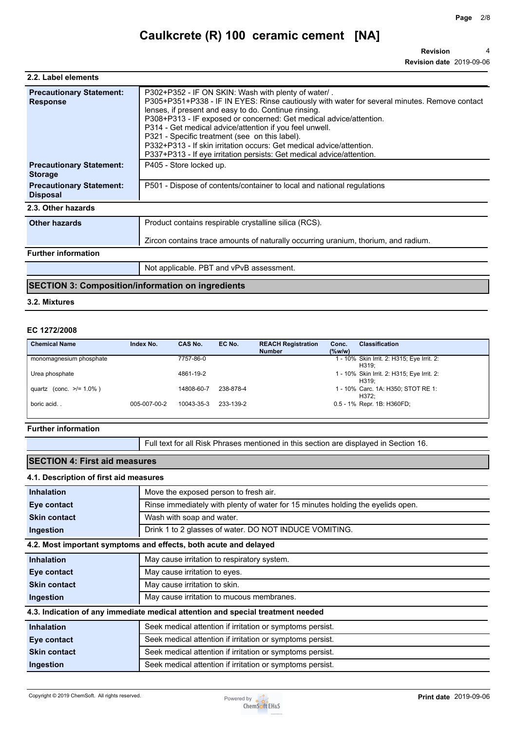**Revision Revision date** 2019-09-06 4

| P305+P351+P338 - IF IN EYES: Rinse cautiously with water for several minutes. Remove contact |
|----------------------------------------------------------------------------------------------|
|                                                                                              |
|                                                                                              |
|                                                                                              |
| Zircon contains trace amounts of naturally occurring uranium, thorium, and radium.           |
|                                                                                              |
|                                                                                              |
|                                                                                              |

### **SECTION 3: Composition/information on ingredients**

**3.2. Mixtures**

### **EC 1272/2008**

| <b>Chemical Name</b>     | Index No.    | CAS No.    | EC No.    | <b>REACH Registration</b><br><b>Number</b> | Conc.<br>$(\%w/w)$ | <b>Classification</b>                               |
|--------------------------|--------------|------------|-----------|--------------------------------------------|--------------------|-----------------------------------------------------|
| monomagnesium phosphate  |              | 7757-86-0  |           |                                            |                    | - 10% Skin Irrit. 2: H315; Eye Irrit. 2:<br>H319:   |
| Urea phosphate           |              | 4861-19-2  |           |                                            |                    | 1 - 10% Skin Irrit. 2: H315; Eye Irrit. 2:<br>H319: |
| quartz (conc. $>1.0\%$ ) |              | 14808-60-7 | 238-878-4 |                                            |                    | 1 - 10% Carc. 1A: H350; STOT RE 1:<br>H372:         |
| boric acid               | 005-007-00-2 | 10043-35-3 | 233-139-2 |                                            |                    | 0.5 - 1% Repr. 1B: H360FD;                          |

#### **Further information**

Full text for all Risk Phrases mentioned in this section are displayed in Section 16.

### **SECTION 4: First aid measures**

#### **4.1. Description of first aid measures**

| <b>Inhalation</b>   | Move the exposed person to fresh air.                                           |
|---------------------|---------------------------------------------------------------------------------|
| Eye contact         | Rinse immediately with plenty of water for 15 minutes holding the eyelids open. |
| <b>Skin contact</b> | Wash with soap and water.                                                       |
| Ingestion           | Drink 1 to 2 glasses of water. DO NOT INDUCE VOMITING.                          |
|                     | 4.2. Most important symptoms and effects, both acute and delayed                |
| <b>Inhalation</b>   | May cause irritation to respiratory system.                                     |
| Eye contact         | May cause irritation to eyes.                                                   |
| <b>Skin contact</b> | May cause irritation to skin.                                                   |
| Ingestion           | May cause irritation to mucous membranes.                                       |
|                     | 4.3. Indication of any immediate medical attention and special treatment needed |
| <b>Inhalation</b>   | Seek medical attention if irritation or symptoms persist.                       |
| Eye contact         | Seek medical attention if irritation or symptoms persist.                       |
| <b>Skin contact</b> | Seek medical attention if irritation or symptoms persist.                       |
| Ingestion           | Seek medical attention if irritation or symptoms persist.                       |

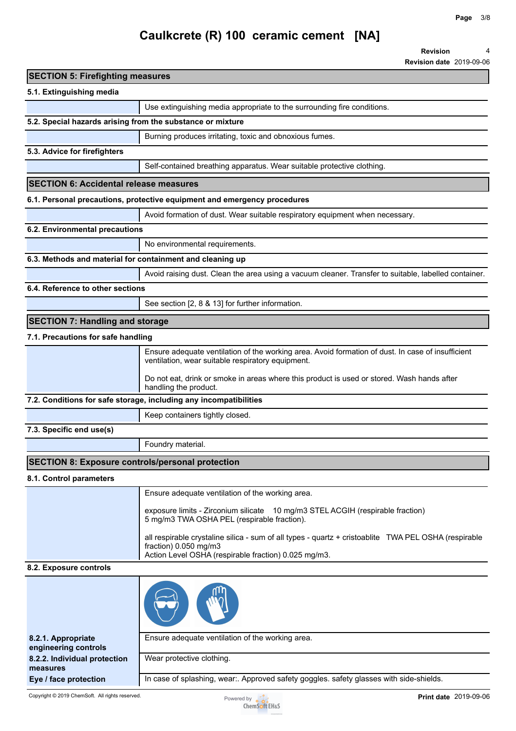**Revision date** 2019-09-06

4

**Revision**

# **Caulkcrete (R) 100 ceramic cement [NA]**

**SECTION 5: Firefighting measures 5.1. Extinguishing media** Use extinguishing media appropriate to the surrounding fire conditions. **5.2. Special hazards arising from the substance or mixture** Burning produces irritating, toxic and obnoxious fumes. **5.3. Advice for firefighters** Self-contained breathing apparatus. Wear suitable protective clothing. **SECTION 6: Accidental release measures 6.1. Personal precautions, protective equipment and emergency procedures** Avoid formation of dust. Wear suitable respiratory equipment when necessary. **6.2. Environmental precautions** No environmental requirements. **6.3. Methods and material for containment and cleaning up** Avoid raising dust. Clean the area using a vacuum cleaner. Transfer to suitable, labelled container. **6.4. Reference to other sections** See section [2, 8 & 13] for further information. **SECTION 7: Handling and storage 7.1. Precautions for safe handling** Ensure adequate ventilation of the working area. Avoid formation of dust. In case of insufficient ventilation, wear suitable respiratory equipment. Do not eat, drink or smoke in areas where this product is used or stored. Wash hands after handling the product. **7.2. Conditions for safe storage, including any incompatibilities** Keep containers tightly closed. **7.3. Specific end use(s)** Foundry material. **SECTION 8: Exposure controls/personal protection 8.1. Control parameters** Ensure adequate ventilation of the working area. exposure limits - Zirconium silicate 10 mg/m3 STEL ACGIH (respirable fraction) 5 mg/m3 TWA OSHA PEL (respirable fraction). all respirable crystaline silica - sum of all types - quartz + cristoablite TWA PEL OSHA (respirable fraction) 0.050 mg/m3 Action Level OSHA (respirable fraction) 0.025 mg/m3. **8.2. Exposure controls 8.2.1. Appropriate engineering controls** Ensure adequate ventilation of the working area. **8.2.2. Individual protection measures** Wear protective clothing. **Eye / face protection** | In case of splashing, wear:. Approved safety goggles. safety glasses with side-shields.

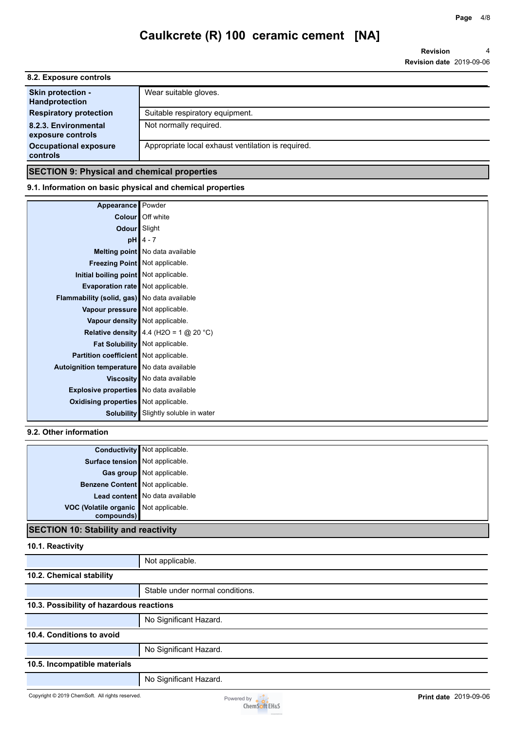**Revision Revision date** 2019-09-06 4

| 8.2. Exposure controls                            |                                                    |
|---------------------------------------------------|----------------------------------------------------|
| <b>Skin protection -</b><br><b>Handprotection</b> | Wear suitable gloves.                              |
| <b>Respiratory protection</b>                     | Suitable respiratory equipment.                    |
| 8.2.3. Environmental<br>exposure controls         | Not normally required.                             |
| <b>Occupational exposure</b><br>controls          | Appropriate local exhaust ventilation is required. |

### **SECTION 9: Physical and chemical properties**

#### **9.1. Information on basic physical and chemical properties**

| Appearance                                    | Powder                                      |
|-----------------------------------------------|---------------------------------------------|
|                                               | Colour Off white                            |
| Odour Slight                                  |                                             |
|                                               | $pH$ 4 - 7                                  |
|                                               | Melting point No data available             |
|                                               | <b>Freezing Point</b> Not applicable.       |
| Initial boiling point Not applicable.         |                                             |
| <b>Evaporation rate</b> Not applicable.       |                                             |
| Flammability (solid, gas) No data available   |                                             |
| Vapour pressure Not applicable.               |                                             |
| Vapour density Not applicable.                |                                             |
|                                               | Relative density 4.4 (H2O = 1 $@$ 20 °C)    |
|                                               | Fat Solubility Not applicable.              |
| Partition coefficient   Not applicable.       |                                             |
| Autoignition temperature No data available    |                                             |
|                                               | Viscosity   No data available               |
| <b>Explosive properties</b> No data available |                                             |
| <b>Oxidising properties</b> Not applicable.   |                                             |
|                                               | <b>Solubility</b> Slightly soluble in water |

### **9.2. Other information**

|                                                     | <b>Conductivity</b> Not applicable. |
|-----------------------------------------------------|-------------------------------------|
| Surface tension Not applicable.                     |                                     |
|                                                     | Gas group Not applicable.           |
| Benzene Content Not applicable.                     |                                     |
|                                                     | Lead content No data available      |
| VOC (Volatile organic Not applicable.<br>compounds) |                                     |
|                                                     |                                     |

#### **SECTION 10: Stability and reactivity**

**10.1. Reactivity**

Not applicable. **10.2. Chemical stability** Stable under normal conditions. **10.3. Possibility of hazardous reactions** No Significant Hazard. **10.4. Conditions to avoid** No Significant Hazard. **10.5. Incompatible materials** No Significant Hazard.

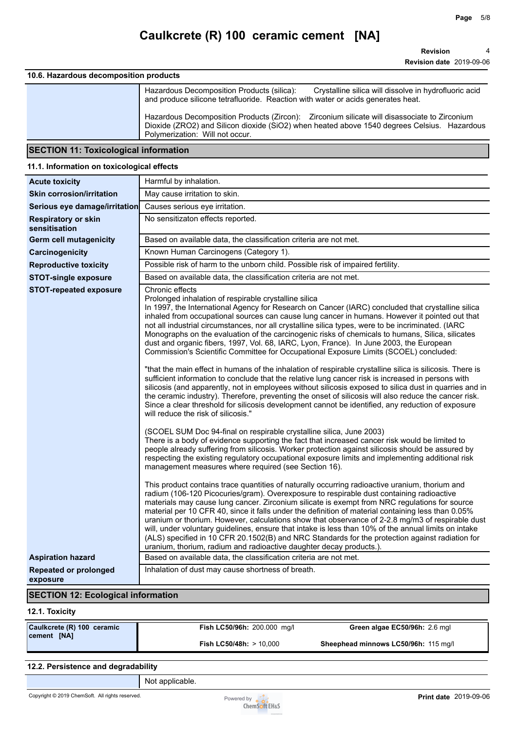### **10.6. Hazardous decomposition products**

| Hazardous Decomposition Products (silica):<br>Crystalline silica will dissolve in hydrofluoric acid<br>and produce silicone tetrafluoride. Reaction with water or acids generates heat.                                        |
|--------------------------------------------------------------------------------------------------------------------------------------------------------------------------------------------------------------------------------|
| Hazardous Decomposition Products (Zircon): Zirconium silicate will disassociate to Zirconium<br>Dioxide (ZRO2) and Silicon dioxide (SiO2) when heated above 1540 degrees Celsius. Hazardous<br>Polymerization: Will not occur. |

### **SECTION 11: Toxicological information**

## **11.1. Information on toxicological effects**

| <b>Acute toxicity</b>                                                                     | Harmful by inhalation.                                                                                                                                                                                                                                                                                                                                                                                                                                                                                                                                                                                                                                                                                                                                                                                                                                                                                                                                                                                                                                                                                                                                                                                                                                                                                                                                                                                                                                                                                                                                                                                                                                                                                                                                                                                                                                                                                                                                                                                                                                                                                                                                                                                                                                                                                                                                                                                                                                                                                                                                                                                                           |
|-------------------------------------------------------------------------------------------|----------------------------------------------------------------------------------------------------------------------------------------------------------------------------------------------------------------------------------------------------------------------------------------------------------------------------------------------------------------------------------------------------------------------------------------------------------------------------------------------------------------------------------------------------------------------------------------------------------------------------------------------------------------------------------------------------------------------------------------------------------------------------------------------------------------------------------------------------------------------------------------------------------------------------------------------------------------------------------------------------------------------------------------------------------------------------------------------------------------------------------------------------------------------------------------------------------------------------------------------------------------------------------------------------------------------------------------------------------------------------------------------------------------------------------------------------------------------------------------------------------------------------------------------------------------------------------------------------------------------------------------------------------------------------------------------------------------------------------------------------------------------------------------------------------------------------------------------------------------------------------------------------------------------------------------------------------------------------------------------------------------------------------------------------------------------------------------------------------------------------------------------------------------------------------------------------------------------------------------------------------------------------------------------------------------------------------------------------------------------------------------------------------------------------------------------------------------------------------------------------------------------------------------------------------------------------------------------------------------------------------|
| <b>Skin corrosion/irritation</b>                                                          | May cause irritation to skin.                                                                                                                                                                                                                                                                                                                                                                                                                                                                                                                                                                                                                                                                                                                                                                                                                                                                                                                                                                                                                                                                                                                                                                                                                                                                                                                                                                                                                                                                                                                                                                                                                                                                                                                                                                                                                                                                                                                                                                                                                                                                                                                                                                                                                                                                                                                                                                                                                                                                                                                                                                                                    |
| Serious eye damage/irritation                                                             | Causes serious eye irritation.                                                                                                                                                                                                                                                                                                                                                                                                                                                                                                                                                                                                                                                                                                                                                                                                                                                                                                                                                                                                                                                                                                                                                                                                                                                                                                                                                                                                                                                                                                                                                                                                                                                                                                                                                                                                                                                                                                                                                                                                                                                                                                                                                                                                                                                                                                                                                                                                                                                                                                                                                                                                   |
| <b>Respiratory or skin</b><br>sensitisation                                               | No sensitizaton effects reported.                                                                                                                                                                                                                                                                                                                                                                                                                                                                                                                                                                                                                                                                                                                                                                                                                                                                                                                                                                                                                                                                                                                                                                                                                                                                                                                                                                                                                                                                                                                                                                                                                                                                                                                                                                                                                                                                                                                                                                                                                                                                                                                                                                                                                                                                                                                                                                                                                                                                                                                                                                                                |
| <b>Germ cell mutagenicity</b>                                                             | Based on available data, the classification criteria are not met.                                                                                                                                                                                                                                                                                                                                                                                                                                                                                                                                                                                                                                                                                                                                                                                                                                                                                                                                                                                                                                                                                                                                                                                                                                                                                                                                                                                                                                                                                                                                                                                                                                                                                                                                                                                                                                                                                                                                                                                                                                                                                                                                                                                                                                                                                                                                                                                                                                                                                                                                                                |
| Carcinogenicity                                                                           | Known Human Carcinogens (Category 1).                                                                                                                                                                                                                                                                                                                                                                                                                                                                                                                                                                                                                                                                                                                                                                                                                                                                                                                                                                                                                                                                                                                                                                                                                                                                                                                                                                                                                                                                                                                                                                                                                                                                                                                                                                                                                                                                                                                                                                                                                                                                                                                                                                                                                                                                                                                                                                                                                                                                                                                                                                                            |
| <b>Reproductive toxicity</b>                                                              | Possible risk of harm to the unborn child. Possible risk of impaired fertility.                                                                                                                                                                                                                                                                                                                                                                                                                                                                                                                                                                                                                                                                                                                                                                                                                                                                                                                                                                                                                                                                                                                                                                                                                                                                                                                                                                                                                                                                                                                                                                                                                                                                                                                                                                                                                                                                                                                                                                                                                                                                                                                                                                                                                                                                                                                                                                                                                                                                                                                                                  |
| <b>STOT-single exposure</b>                                                               | Based on available data, the classification criteria are not met.                                                                                                                                                                                                                                                                                                                                                                                                                                                                                                                                                                                                                                                                                                                                                                                                                                                                                                                                                                                                                                                                                                                                                                                                                                                                                                                                                                                                                                                                                                                                                                                                                                                                                                                                                                                                                                                                                                                                                                                                                                                                                                                                                                                                                                                                                                                                                                                                                                                                                                                                                                |
| <b>STOT-repeated exposure</b><br><b>Aspiration hazard</b><br><b>Repeated or prolonged</b> | Chronic effects<br>Prolonged inhalation of respirable crystalline silica<br>In 1997, the International Agency for Research on Cancer (IARC) concluded that crystalline silica<br>inhaled from occupational sources can cause lung cancer in humans. However it pointed out that<br>not all industrial circumstances, nor all crystalline silica types, were to be incriminated. (IARC<br>Monographs on the evaluation of the carcinogenic risks of chemicals to humans, Silica, silicates<br>dust and organic fibers, 1997, Vol. 68, IARC, Lyon, France). In June 2003, the European<br>Commission's Scientific Committee for Occupational Exposure Limits (SCOEL) concluded:<br>"that the main effect in humans of the inhalation of respirable crystalline silica is silicosis. There is<br>sufficient information to conclude that the relative lung cancer risk is increased in persons with<br>silicosis (and apparently, not in employees without silicosis exposed to silica dust in quarries and in<br>the ceramic industry). Therefore, preventing the onset of silicosis will also reduce the cancer risk.<br>Since a clear threshold for silicosis development cannot be identified, any reduction of exposure<br>will reduce the risk of silicosis."<br>(SCOEL SUM Doc 94-final on respirable crystalline silica, June 2003)<br>There is a body of evidence supporting the fact that increased cancer risk would be limited to<br>people already suffering from silicosis. Worker protection against silicosis should be assured by<br>respecting the existing regulatory occupational exposure limits and implementing additional risk<br>management measures where required (see Section 16).<br>This product contains trace quantities of naturally occurring radioactive uranium, thorium and<br>radium (106-120 Picocuries/gram). Overexposure to respirable dust containing radioactive<br>materials may cause lung cancer. Zirconium silicate is exempt from NRC regulations for source<br>material per 10 CFR 40, since it falls under the definition of material containing less than 0.05%<br>uranium or thorium. However, calculations show that observance of 2-2.8 mg/m3 of respirable dust<br>will, under voluntary guidelines, ensure that intake is less than 10% of the annual limits on intake<br>(ALS) specified in 10 CFR 20.1502(B) and NRC Standards for the protection against radiation for<br>uranium, thorium, radium and radioactive daughter decay products.).<br>Based on available data, the classification criteria are not met.<br>Inhalation of dust may cause shortness of breath. |
| exposure                                                                                  |                                                                                                                                                                                                                                                                                                                                                                                                                                                                                                                                                                                                                                                                                                                                                                                                                                                                                                                                                                                                                                                                                                                                                                                                                                                                                                                                                                                                                                                                                                                                                                                                                                                                                                                                                                                                                                                                                                                                                                                                                                                                                                                                                                                                                                                                                                                                                                                                                                                                                                                                                                                                                                  |
| <b>SECTION 12: Ecological information</b>                                                 |                                                                                                                                                                                                                                                                                                                                                                                                                                                                                                                                                                                                                                                                                                                                                                                                                                                                                                                                                                                                                                                                                                                                                                                                                                                                                                                                                                                                                                                                                                                                                                                                                                                                                                                                                                                                                                                                                                                                                                                                                                                                                                                                                                                                                                                                                                                                                                                                                                                                                                                                                                                                                                  |
|                                                                                           |                                                                                                                                                                                                                                                                                                                                                                                                                                                                                                                                                                                                                                                                                                                                                                                                                                                                                                                                                                                                                                                                                                                                                                                                                                                                                                                                                                                                                                                                                                                                                                                                                                                                                                                                                                                                                                                                                                                                                                                                                                                                                                                                                                                                                                                                                                                                                                                                                                                                                                                                                                                                                                  |

#### **12.1. Toxicity**

| Caulkcrete (R) 100 ceramic | Fish LC50/96h: 200.000 mg/l       | Green algae EC50/96h: 2.6 mgl        |
|----------------------------|-----------------------------------|--------------------------------------|
| <b>cement [NA]</b>         | <b>Fish LC50/48h: &gt; 10.000</b> | Sheephead minnows LC50/96h: 115 mg/l |

### **12.2. Persistence and degradability**

Not applicable.

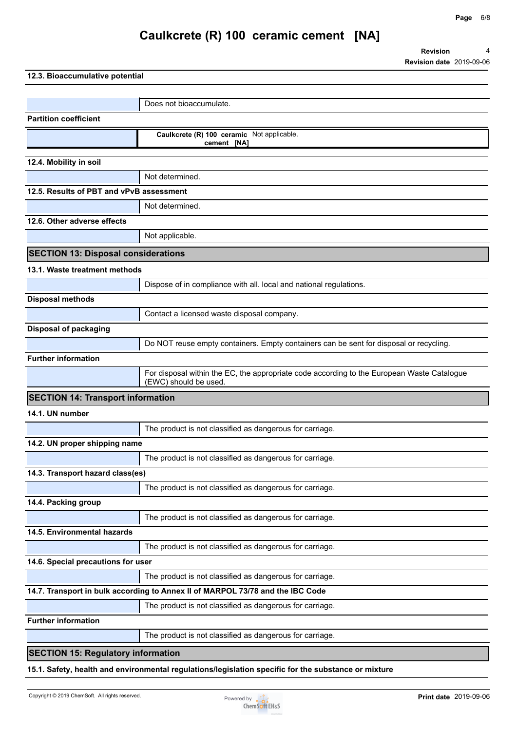**Revision Revision date** 2019-09-06 4

**12.3. Bioaccumulative potential**

|                                            | Does not bioaccumulate.                                                                                             |
|--------------------------------------------|---------------------------------------------------------------------------------------------------------------------|
| <b>Partition coefficient</b>               |                                                                                                                     |
|                                            | Caulkcrete (R) 100 ceramic Not applicable.<br>cement [NA]                                                           |
| 12.4. Mobility in soil                     |                                                                                                                     |
|                                            | Not determined.                                                                                                     |
| 12.5. Results of PBT and vPvB assessment   |                                                                                                                     |
|                                            | Not determined.                                                                                                     |
| 12.6. Other adverse effects                |                                                                                                                     |
|                                            | Not applicable.                                                                                                     |
| <b>SECTION 13: Disposal considerations</b> |                                                                                                                     |
| 13.1. Waste treatment methods              |                                                                                                                     |
|                                            | Dispose of in compliance with all. local and national regulations.                                                  |
| <b>Disposal methods</b>                    |                                                                                                                     |
|                                            | Contact a licensed waste disposal company.                                                                          |
| <b>Disposal of packaging</b>               |                                                                                                                     |
|                                            | Do NOT reuse empty containers. Empty containers can be sent for disposal or recycling.                              |
| <b>Further information</b>                 |                                                                                                                     |
|                                            | For disposal within the EC, the appropriate code according to the European Waste Catalogue<br>(EWC) should be used. |
| <b>SECTION 14: Transport information</b>   |                                                                                                                     |
| 14.1. UN number                            |                                                                                                                     |
|                                            | The product is not classified as dangerous for carriage.                                                            |
| 14.2. UN proper shipping name              |                                                                                                                     |
|                                            | The product is not classified as dangerous for carriage.                                                            |
| 14.3. Transport hazard class(es)           |                                                                                                                     |
|                                            | The product is not classified as dangerous for carriage.                                                            |
| 14.4. Packing group                        |                                                                                                                     |
|                                            | The product is not classified as dangerous for carriage.                                                            |
| 14.5. Environmental hazards                |                                                                                                                     |
|                                            | The product is not classified as dangerous for carriage.                                                            |
| 14.6. Special precautions for user         |                                                                                                                     |
|                                            | The product is not classified as dangerous for carriage.                                                            |
|                                            | 14.7. Transport in bulk according to Annex II of MARPOL 73/78 and the IBC Code                                      |
|                                            | The product is not classified as dangerous for carriage.                                                            |
| <b>Further information</b>                 |                                                                                                                     |
|                                            | The product is not classified as dangerous for carriage.                                                            |
| <b>SECTION 15: Regulatory information</b>  |                                                                                                                     |
|                                            |                                                                                                                     |

**15.1. Safety, health and environmental regulations/legislation specific for the substance or mixture**

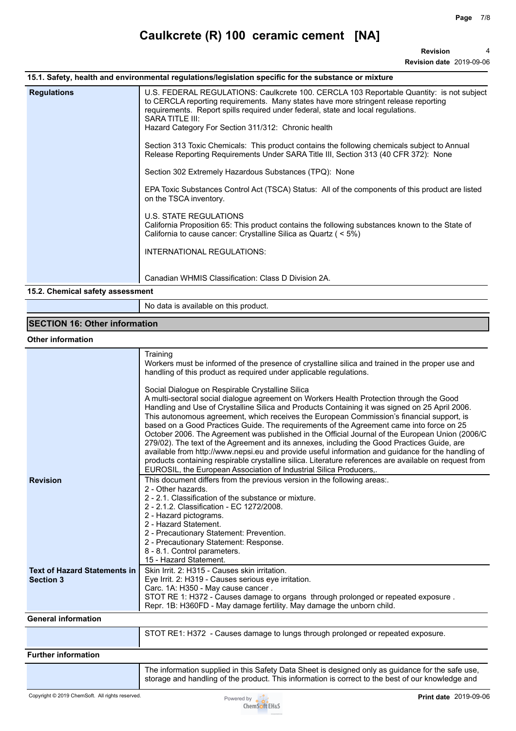**Revision** 4

**Revision date** 2019-09-06

|                    | <b>Revision</b>                                                                                                                                                                                                                                                                                                                                                                                                                                                                                                                                                                                                                                                                                                                                                                                                                                                                                                                                                                                                    |
|--------------------|--------------------------------------------------------------------------------------------------------------------------------------------------------------------------------------------------------------------------------------------------------------------------------------------------------------------------------------------------------------------------------------------------------------------------------------------------------------------------------------------------------------------------------------------------------------------------------------------------------------------------------------------------------------------------------------------------------------------------------------------------------------------------------------------------------------------------------------------------------------------------------------------------------------------------------------------------------------------------------------------------------------------|
|                    | Revision date 2019-09-06                                                                                                                                                                                                                                                                                                                                                                                                                                                                                                                                                                                                                                                                                                                                                                                                                                                                                                                                                                                           |
|                    | 15.1. Safety, health and environmental regulations/legislation specific for the substance or mixture                                                                                                                                                                                                                                                                                                                                                                                                                                                                                                                                                                                                                                                                                                                                                                                                                                                                                                               |
| <b>Regulations</b> | U.S. FEDERAL REGULATIONS: Caulkcrete 100. CERCLA 103 Reportable Quantity: is not subject<br>to CERCLA reporting requirements. Many states have more stringent release reporting<br>requirements. Report spills required under federal, state and local regulations.<br>SARA TITLE III:<br>Hazard Category For Section 311/312: Chronic health<br>Section 313 Toxic Chemicals: This product contains the following chemicals subject to Annual<br>Release Reporting Requirements Under SARA Title III, Section 313 (40 CFR 372): None<br>Section 302 Extremely Hazardous Substances (TPQ): None<br>EPA Toxic Substances Control Act (TSCA) Status: All of the components of this product are listed<br>on the TSCA inventory.<br>U.S. STATE REGULATIONS<br>California Proposition 65: This product contains the following substances known to the State of<br>California to cause cancer: Crystalline Silica as Quartz ( < 5%)<br>INTERNATIONAL REGULATIONS:<br>Canadian WHMIS Classification: Class D Division 2A. |

### **15.2. Chemical safety assessment**

No data is available on this product.

## **SECTION 16: Other information**

### **Other information**

|                                                         | Training<br>Workers must be informed of the presence of crystalline silica and trained in the proper use and<br>handling of this product as required under applicable regulations.                                                                                                                                                                                                                                                                                                                                                                                                                                                                                                                                                                                                                                                                                                                                              |
|---------------------------------------------------------|---------------------------------------------------------------------------------------------------------------------------------------------------------------------------------------------------------------------------------------------------------------------------------------------------------------------------------------------------------------------------------------------------------------------------------------------------------------------------------------------------------------------------------------------------------------------------------------------------------------------------------------------------------------------------------------------------------------------------------------------------------------------------------------------------------------------------------------------------------------------------------------------------------------------------------|
|                                                         | Social Dialogue on Respirable Crystalline Silica<br>A multi-sectoral social dialogue agreement on Workers Health Protection through the Good<br>Handling and Use of Crystalline Silica and Products Containing it was signed on 25 April 2006.<br>This autonomous agreement, which receives the European Commission's financial support, is<br>based on a Good Practices Guide. The requirements of the Agreement came into force on 25<br>October 2006. The Agreement was published in the Official Journal of the European Union (2006/C<br>279/02). The text of the Agreement and its annexes, including the Good Practices Guide, are<br>available from http://www.nepsi.eu and provide useful information and guidance for the handling of<br>products containing respirable crystalline silica. Literature references are available on request from<br>EUROSIL, the European Association of Industrial Silica Producers,. |
| <b>Revision</b>                                         | This document differs from the previous version in the following areas:.<br>2 - Other hazards.<br>2 - 2.1. Classification of the substance or mixture.<br>2 - 2.1.2. Classification - EC 1272/2008.<br>2 - Hazard pictograms.<br>2 - Hazard Statement.<br>2 - Precautionary Statement: Prevention.<br>2 - Precautionary Statement: Response.<br>8 - 8.1. Control parameters.<br>15 - Hazard Statement.                                                                                                                                                                                                                                                                                                                                                                                                                                                                                                                          |
| <b>Text of Hazard Statements in</b><br><b>Section 3</b> | Skin Irrit. 2: H315 - Causes skin irritation.<br>Eye Irrit. 2: H319 - Causes serious eye irritation.<br>Carc. 1A: H350 - May cause cancer.<br>STOT RE 1: H372 - Causes damage to organs through prolonged or repeated exposure.<br>Repr. 1B: H360FD - May damage fertility. May damage the unborn child.                                                                                                                                                                                                                                                                                                                                                                                                                                                                                                                                                                                                                        |
| <b>General information</b>                              |                                                                                                                                                                                                                                                                                                                                                                                                                                                                                                                                                                                                                                                                                                                                                                                                                                                                                                                                 |
|                                                         | STOT RE1: H372 - Causes damage to lungs through prolonged or repeated exposure.                                                                                                                                                                                                                                                                                                                                                                                                                                                                                                                                                                                                                                                                                                                                                                                                                                                 |
| <b>Further information</b>                              |                                                                                                                                                                                                                                                                                                                                                                                                                                                                                                                                                                                                                                                                                                                                                                                                                                                                                                                                 |
|                                                         | The information ounplied in this Cafety Data Chaet is designed only as quidenes for the eafs use                                                                                                                                                                                                                                                                                                                                                                                                                                                                                                                                                                                                                                                                                                                                                                                                                                |

The information supplied in this Safety Data Sheet is designed only as guidance for the safe use, storage and handling of the product. This information is correct to the best of our knowledge and